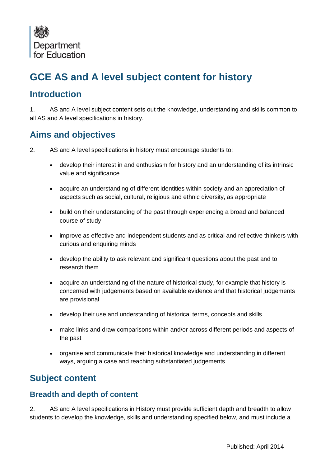

# **GCE AS and A level subject content for history**

## **Introduction**

1. AS and A level subject content sets out the knowledge, understanding and skills common to all AS and A level specifications in history.

# **Aims and objectives**

- 2. AS and A level specifications in history must encourage students to:
	- develop their interest in and enthusiasm for history and an understanding of its intrinsic value and significance
	- acquire an understanding of different identities within society and an appreciation of aspects such as social, cultural, religious and ethnic diversity, as appropriate
	- build on their understanding of the past through experiencing a broad and balanced course of study
	- improve as effective and independent students and as critical and reflective thinkers with curious and enquiring minds
	- develop the ability to ask relevant and significant questions about the past and to research them
	- acquire an understanding of the nature of historical study, for example that history is concerned with judgements based on available evidence and that historical judgements are provisional
	- develop their use and understanding of historical terms, concepts and skills
	- make links and draw comparisons within and/or across different periods and aspects of the past
	- organise and communicate their historical knowledge and understanding in different ways, arguing a case and reaching substantiated judgements

## **Subject content**

#### **Breadth and depth of content**

2. AS and A level specifications in History must provide sufficient depth and breadth to allow students to develop the knowledge, skills and understanding specified below, and must include a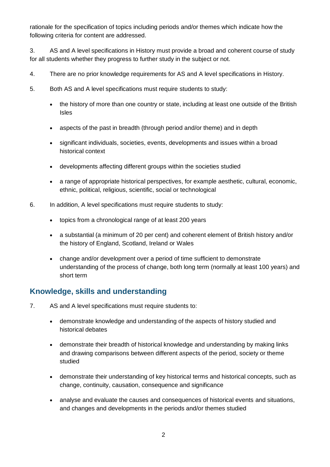rationale for the specification of topics including periods and/or themes which indicate how the following criteria for content are addressed.

3. AS and A level specifications in History must provide a broad and coherent course of study for all students whether they progress to further study in the subject or not.

- 4. There are no prior knowledge requirements for AS and A level specifications in History.
- 5. Both AS and A level specifications must require students to study:
	- the history of more than one country or state, including at least one outside of the British Isles
	- aspects of the past in breadth (through period and/or theme) and in depth
	- significant individuals, societies, events, developments and issues within a broad historical context
	- developments affecting different groups within the societies studied
	- a range of appropriate historical perspectives, for example aesthetic, cultural, economic, ethnic, political, religious, scientific, social or technological
- 6. In addition, A level specifications must require students to study:
	- topics from a chronological range of at least 200 years
	- a substantial (a minimum of 20 per cent) and coherent element of British history and/or the history of England, Scotland, Ireland or Wales
	- change and/or development over a period of time sufficient to demonstrate understanding of the process of change, both long term (normally at least 100 years) and short term

#### **Knowledge, skills and understanding**

- 7. AS and A level specifications must require students to:
	- demonstrate knowledge and understanding of the aspects of history studied and historical debates
	- demonstrate their breadth of historical knowledge and understanding by making links and drawing comparisons between different aspects of the period, society or theme studied
	- demonstrate their understanding of key historical terms and historical concepts, such as change, continuity, causation, consequence and significance
	- analyse and evaluate the causes and consequences of historical events and situations, and changes and developments in the periods and/or themes studied